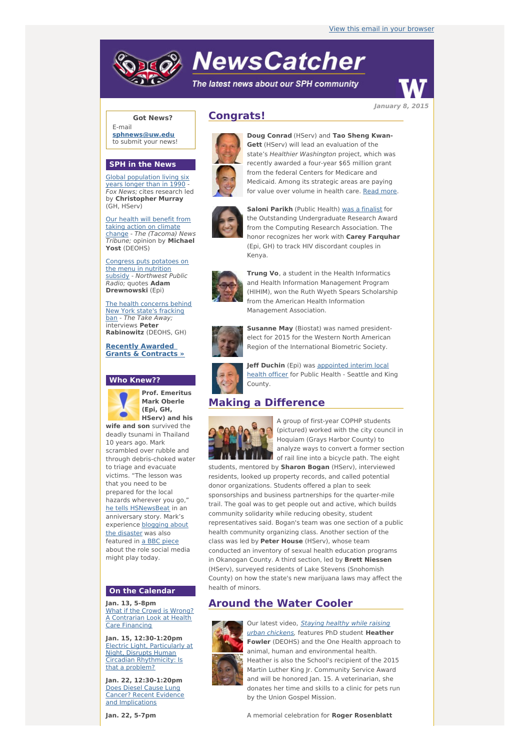# **NewsCatcher**

The latest news about our SPH community



**Got News?**

E-mail **[sphnews@uw.edu](mailto:sphnews@uw.edu)** to submit your news!

#### **SPH in the News**

Global [population](http://engage.washington.edu/site/R?i=NF1_Y7aq1KQ-KLJc0I-QZA) living six years longer than in 1990 Fox News; cites research led by **Christopher Murray** (GH, HServ)

Our health will benefit from taking action on climate change - The [\(Tacoma\)](http://engage.washington.edu/site/R?i=mq-A0SEk82qT6cYm_VW6-w) News Tribune; opinion by **Michael Yost** (DEOHS)

Congress puts potatoes on the menu in nutrition subsidy - [Northwest](http://engage.washington.edu/site/R?i=GYH2xVi1fcdDx_tPQgrM4g) Public Radio; quotes **Adam Drewnowski** (Epi)

The health [concerns](http://engage.washington.edu/site/R?i=lIyBXre-_buRoZxQdu5v2g) behind New York state's fracking ban - The Take Away; interviews **Peter Rabinowitz** (DEOHS, GH)

**Recently Awarded Grants & [Contracts](http://engage.washington.edu/site/R?i=MWNcJBKmwT3VzU1eykEjhw) »**

#### **Who Knew??**



**Prof. Emeritus Mark Oberle (Epi, GH, HServ) and his**

**wife and son** survived the deadly tsunami in Thailand 10 years ago. Mark scrambled over rubble and through debris-choked water to triage and evacuate victims. "The lesson was that you need to be prepared for the local hazards wherever you go," he tells [HSNewsBeat](http://engage.washington.edu/site/R?i=pNnamqy4HG_Q3Bac_wNAFA) in an anniversary story. Mark's [experience](http://engage.washington.edu/site/R?i=OvztvLYAgOr2Jx6ptIdp6w) blogging about the disaster was also featured in a BBC [piece](http://engage.washington.edu/site/R?i=dIrtEq9ToDq6qgLSugKDDg) about the role social media might play today.

#### **On the Calendar**

**Jan. 13, 5-8pm** What if the Crowd is Wrong? A [Contrarian](http://engage.washington.edu/site/R?i=NKAOEGO-ZfEzVdCadbJDpQ) Look at Health Care Financing

**Jan. 15, 12:30-1:20pm** Electric Light, Particularly at Night, Disrupts Human **Circadian [Rhythmicity:](http://engage.washington.edu/site/R?i=8bZBaRFXh3OXor2JfyFuYg) Is** that a problem?

**Jan. 22, 12:30-1:20pm** Does Diesel Cause Lung Cancer? Recent Evidence and [Implications](http://engage.washington.edu/site/R?i=qxdXr7VePnV-FQtAttMYgg)

# **Congrats!**



**Doug Conrad** (HServ) and **Tao Sheng Kwan-Gett** (HServ) will lead an evaluation of the state's Healthier Washington project, which was recently awarded a four-year \$65 million grant from the federal Centers for Medicare and Medicaid. Among its strategic areas are paying for value over volume in health care. [Read](http://engage.washington.edu/site/R?i=6_3zrA2LG0uUQG0XCFS3yg) more.



**Saloni Parikh** (Public Health) was a [finalist](http://engage.washington.edu/site/R?i=a1qnC_UWps5t1ycLDyJ1vA) for the Outstanding Undergraduate Research Award from the Computing Research Association. The honor recognizes her work with **Carey Farquhar** (Epi, GH) to track HIV discordant couples in Kenya.



**Trung Vo**, a student in the Health Informatics and Health Information Management Program (HIHIM), won the Ruth Wyeth Spears Scholarship from the American Health Information Management Association.



**Susanne May** (Biostat) was named presidentelect for 2015 for the Western North American Region of the International Biometric Society.



**Jeff Duchin** (Epi) was [appointed](http://engage.washington.edu/site/R?i=nMu4sr9VaYKVC3V1iSnGoQ) interim local health officer for Public Health - Seattle and King County.

# **Making a Difference**



A group of first-year COPHP students (pictured) worked with the city council in Hoquiam (Grays Harbor County) to analyze ways to convert a former section of rail line into a bicycle path. The eight

students, mentored by **Sharon Bogan** (HServ), interviewed residents, looked up property records, and called potential donor organizations. Students offered a plan to seek sponsorships and business partnerships for the quarter-mile trail. The goal was to get people out and active, which builds community solidarity while reducing obesity, student representatives said. Bogan's team was one section of a public health community organizing class. Another section of the class was led by **Peter House** (HServ), whose team conducted an inventory of sexual health education programs in Okanogan County. A third section, led by **Brett Niessen** (HServ), surveyed residents of Lake Stevens (Snohomish County) on how the state's new marijuana laws may affect the health of minors.

## **Around the Water Cooler**



Our latest video, Staying healthy while raising urban [chickens,](http://engage.washington.edu/site/R?i=82aUXQDz-L_c7NYFzQPVjw) features PhD student **Heather Fowler** (DEOHS) and the One Health approach to animal, human and environmental health. Heather is also the School's recipient of the 2015 Martin Luther King Jr. Community Service Award and will be honored Jan. 15. A veterinarian, she donates her time and skills to a clinic for pets run by the Union Gospel Mission.

A memorial celebration for **Roger Rosenblatt**

**January 8, 2015**